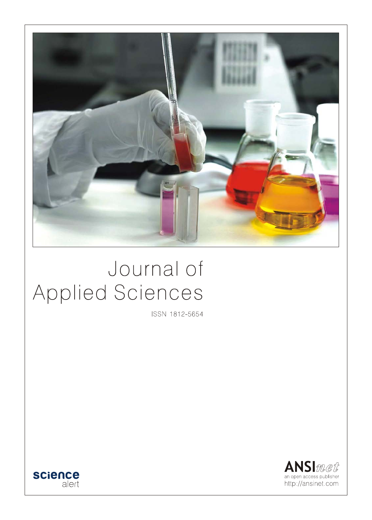

# Journal of Applied Sciences

ISSN 1812-5654



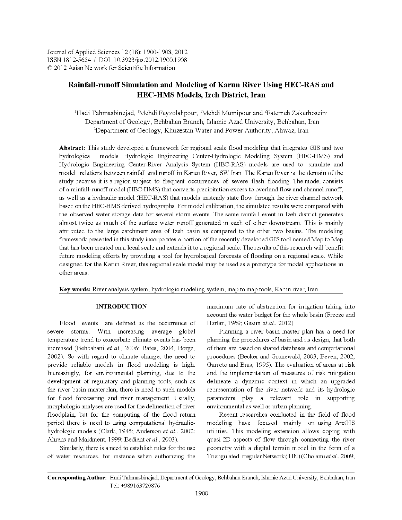Journal of Applied Sciences 12 (18): 1900-1908, 2012 ISSN 1812-5654 / DOI: 10.3923/jas.2012.1900.1908 © 2012 Asian Network for Scientific Information

# Rainfall-runoff Simulation and Modeling of Karun River Using HEC-RAS and **HEC-HMS Models, Izeh District, Iran**

<sup>1</sup>Hadi Tahmasbinejad, <sup>1</sup>Mehdi Feyzolahpour, <sup>1</sup>Mehdi Mumipour and <sup>2</sup>Fatemeh Zakerhoseini <sup>1</sup>Department of Geology, Behbahan Branch, Islamic Azad University, Behbahan, Iran <sup>2</sup>Department of Geology, Khuzestan Water and Power Authority, Ahwaz, Iran

Abstract: This study developed a framework for regional scale flood modeling that integrates GIS and two hydrological models. Hydrologic Engineering Center-Hydrologic Modeling System (HEC-HMS) and Hydrologic Engineering Center-River Analysis System (HEC-RAS) models are used to simulate and model relations between rainfall and runoff in Karun River, SW Iran. The Karun River is the domain of the study because it is a region subject to frequent occurrences of severe flash flooding. The model consists of a rainfall-runoff model (HEC-HMS) that converts precipitation excess to overland flow and channel runoff, as well as a hydraulic model (HEC-RAS) that models unsteady state flow through the river channel network based on the HEC-HMS derived hydrographs. For model calibration, the simulated results were compared with the observed water storage data for several storm events. The same rainfall event in Izeh district generates almost twice as much of the surface water runoff generated in each of other downstream. This is mainly attributed to the large catchment area of Izeh basin as compared to the other two basins. The modeling framework presented in this study incorporates a portion of the recently developed GIS tool named Map to Map that has been created on a local scale and extends it to a regional scale. The results of this research will benefit future modeling efforts by providing a tool for hydrological forecasts of flooding on a regional scale. While designed for the Karun River, this regional scale model may be used as a prototype for model applications in other areas.

Key words: River analysis system, hydrologic modeling system, map to map tools, Karun river, Iran

#### **INTRODUCTION**

Flood events are defined as the occurrence of severe storms. With increasing average global temperature trend to exacerbate climate events has been increased (Behbahani et al., 2006; Bates, 2004; Borga, 2002). So with regard to climate change, the need to provide reliable models in flood modeling is high. Increasingly, for environmental planning, due to the development of regulatory and planning tools, such as the river basin masterplan, there is need to such models for flood forecasting and river management. Usually, morphologic analyses are used for the delineation of river floodplain, but for the computing of the flood return period there is need to using computational hydraulichydrologic models (Clark, 1945; Anderson et al., 2002; Ahrens and Maidment, 1999; Bedient et al., 2003).

Similarly, there is a need to establish rules for the use of water resources, for instance when authorizing the maximum rate of abstraction for irrigation taking into account the water budget for the whole basin (Freeze and Harlan, 1969; Gasim et al., 2012).

Planning a river basin master plan has a need for planning the procedures of basin and its design, that both of them are based on shared databases and computational procedures (Becker and Grunewald, 2003; Beven, 2002; Garrote and Bras, 1995). The evaluation of areas at risk and the implementation of measures of risk mitigation delineate a dynamic context in which an upgraded representation of the river network and its hydrologic parameters play a relevant role in supporting environmental as well as urban planning.

Recent researches conducted in the field of flood modeling have focused mainly on using ArcGIS utilities. This modeling extension allows coping with quasi-2D aspects of flow through connecting the river geometry with a digital terrain model in the form of a Triangulated Irregular Network (TIN) (Gholami et al., 2009;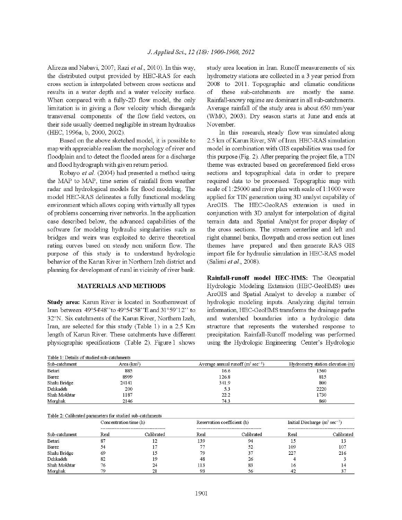Alireza and Nabavi, 2007; Razi et al., 2010). In this way, the distributed output provided by HEC-RAS for each cross section is interpolated between cross sections and results in a water depth and a water velocity surface. When compared with a fully-2D flow model, the only limitation is in giving a flow velocity which disregards transversal components of the flow field vectors, on their side usually deemed negligible in stream hydraulics (HEC, 1996a, b, 2000, 2002).

Based on the above sketched model, it is possible to map with appreciable realism the morphology of river and floodplain and to detect the flooded areas for a discharge and flood hydrograph with given return period.

Robayo et al. (2004) had presented a method using the MAP to MAP, time series of rainfall from weather radar and hydrological models for flood modeling. The model HEC-RAS delineates a fully functional modeling environment which allows coping with virtually all types of problems concerning river networks. In the application case described below, the advanced capabilities of the software for modeling hydraulic singularities such as bridges and weirs was exploited to derive theoretical rating curves based on steady non uniform flow. The purpose of this study is to understand hydrologic behavior of the Karun River in Northern Izeh district and planning for development of rural in vicinity of river bank.

## **MATERIALS AND METHODS**

**Study area:** Karun River is located in Southernwest of Iran between 49°54'48''to 49°54'58''E and 31°59'12" to 32°N. Six catchments of the Karun River, Northern Izeh, Iran, are selected for this study (Table 1) in a 2.5 Km length of Karun River. These catchments have different physiographic specifications (Table 2). Figure 1 shows study area location in Iran. Runoff measurements of six hydrometry stations are collected in a 3 year period from 2008 to 2011. Topographic and climatic conditions these sub-catchments are mostly the same. οf Rainfall-snowy regime are dominant in all sub-catchments. Average rainfall of the study area is about 650 mm/year (WMO, 2003). Dry season starts at June and ends at November.

In this research, steady flow was simulated along 2.5 km of Karun River, SW of Iran. HEC-RAS simulation model in combination with GIS capabilities was used for this purpose (Fig. 2). After preparing the project file, a TIN theme was extracted based on georeferenced field cross sections and topographical data in order to prepare required data to be processed. Topographic map with scale of 1:25000 and river plan with scale of 1:1000 were applied for TIN generation using 3D analyst capability of ArcGIS. The HEC-GeoRAS extension is used in conjunction with 3D analyst for interpolation of digital terrain data and Spatial Analyst for proper display of the cross sections. The stream centerline and left and right channel banks, flowpath and cross section cut lines themes have prepared and then generate RAS GIS import file for hydraulic simulation in HEC-RAS model (Salimi et al., 2008).

Rainfall-runoff model HEC-HMS: The Geospatial Hydrologic Modeling Extension (HEC-GeoHMS) uses ArcGIS and Spatial Analyst to develop a number of hydrologic modeling inputs. Analyzing digital terrain information, HEC-GeoHMS transforms the drainage paths and watershed boundaries into a hydrologic data structure that represents the watershed response to precipitation. Rainfall-Runoff modeling was performed using the Hydrologic Engineering Center's Hydrologic

| Sub-catchment | Area $(km^2)$ | Average annual runoff $(m^3 \text{ sec}^{-1})$ | Hydrometry station elevation (m) |  |  |
|---------------|---------------|------------------------------------------------|----------------------------------|--|--|
| Betari        | 885           | 16.6                                           | 1560                             |  |  |
| Barez         | 8999          | 126.8                                          | 815                              |  |  |
| Shalu Bridge  | 24141         | 341.9                                          | 800                              |  |  |
| Dehkadeh      | 200           | 5.3                                            | 2220                             |  |  |
| Shah Mokhtar  | 1187          | 22.2                                           | 1730                             |  |  |
| Morghak       | 2146          | 74.3                                           | 860                              |  |  |

| Table 2: Calibrated parameters for studied sub-catchments |                        |            |                             |            |                                            |            |  |  |  |
|-----------------------------------------------------------|------------------------|------------|-----------------------------|------------|--------------------------------------------|------------|--|--|--|
| Sub-catchment                                             | Concentration time (h) |            | Reservation coefficient (h) |            | Initial Discharge $(m^3 \text{ sec}^{-1})$ |            |  |  |  |
|                                                           |                        |            |                             |            |                                            |            |  |  |  |
|                                                           | Real                   | Calibrated | Real                        | Calibrated | Real                                       | Calibrated |  |  |  |
| Betari                                                    | 87                     | 12         | 139                         | 94         |                                            | -3         |  |  |  |
| Barez                                                     |                        | 17         |                             | 52         | 109                                        | 107        |  |  |  |
| Shalu Bridge                                              | 69                     | 15         | 79                          | 37         | 227                                        | 216        |  |  |  |
| Dehkadeh                                                  | 82                     | 19         | 48                          | 26         |                                            |            |  |  |  |
| Shah Mokhtar                                              | 76                     | 24         | 113                         | 83         | 16                                         |            |  |  |  |
| Morghak                                                   | 79                     | 21         | 93                          | 56         |                                            |            |  |  |  |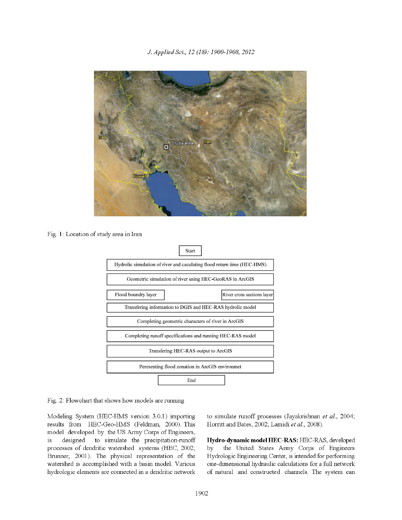

Fig. 1: Location of study area in Iran



Fig. 2: Flowchart that shows how models are running

Modeling System (HEC-HMS version 3.0.1) importing results from HEC-Geo-HMS (Feldman, 2000). This model developed by the US Army Corps of Engineers, designed to simulate the precipitation-runoff  $1\mathrm{s}$ processes of dendritic watershed systems (HEC, 2002; Brunner, 2001). The physical representation of the watershed is accomplished with a basin model. Various hydrologic elements are connected in a dendritic network to simulate runoff processes (Jayakrishnan et al., 2004; Horritt and Bates, 2002; Lamidi et al., 2008).

Hydro-dynamic model HEC-RAS: HEC-RAS, developed the United States Army Corps of Engineers by Hydrologic Engineering Center, is intended for performing one-dimensional hydraulic calculations for a full network of natural and constructed channels. The system can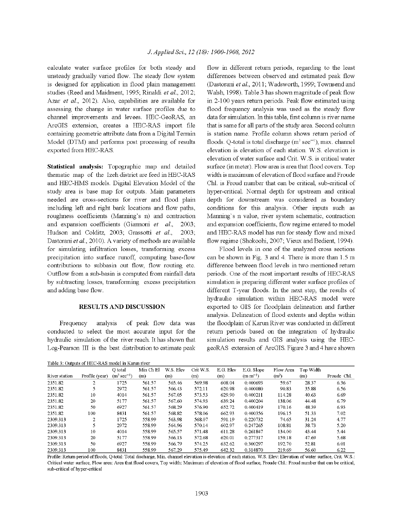calculate water surface profiles for both steady and unsteady gradually varied flow. The steady flow system is designed for application in flood plain management studies (Reed and Maidment, 1995; Rinaldi et al., 2012; Azar et al., 2012). Also, capabilities are available for assessing the change in water surface profiles due to channel improvements and levees. HEC-GeoRAS, an ArcGIS extension, creates a HEC-RAS import file containing geometric attribute data from a Digital Terrain Model (DTM) and performs post processing of results exported from HEC-RAS.

Statistical analysis: Topographic map and detailed thematic map of the Izeh district are feed in HEC-RAS and HEC-HMS models. Digital Elevation Model of the study area is base map for outputs. Main parameters needed are cross-sections for river and flood plain including left and right bank locations and flow paths, roughness coefficients (Manning's n) and contraction and expansion coefficients (Giannoni et al., 2003: Hudson and Colditz, 2003; Grassotti et al., 2003. Dastorani et al., 2010). A variety of methods are available for simulating infiltration losses, transforming excess precipitation into surface runoff, computing base-flow contributions to subbasin out flow, flow routing etc. Outflow from a sub-basin is computed from rainfall data by subtracting losses, transforming excess precipitation and adding base flow.

#### **RESULTS AND DISCUSSION**

Frequency analysis of peak flow data was conducted to select the most accurate input for the hydraulic simulation of the river reach. It has shown that Log-Pearson III is the best distribution to estimate peak

Table 3: Outputs of HEC-RAS model in Karun river

flow in different return periods, regarding to the least differences between observed and estimated peak flow (Dastorani et al., 2011; Wadsworth, 1999; Townsend and Walsh, 1998). Table 3 has shown magnitude of peak flow in 2-100 years return periods. Peak flow estimated using flood frequency analysis was used as the steady flow data for simulation. In this table, first column is river name that is same for all parts of the study area. Second column is station name. Profile column shows return period of floods. Q-total is total discharge  $(m^3 \text{ sec}^{-1})$ , max. channel elevation is elevation of each station. W.S. elevation is elevation of water surface and Crit. W.S. is critical water surface (in meter). Flow area is area that flood covers. Top width is maximum of elevation of flood surface and Froude Chl. is Froud number that can be critical, sub-critical of hyper-critical. Normal depth for upstream and critical depth for downstream was considered as boundary conditions for this analysis. Other inputs such as Manning's n value, river system schematic, contraction and expansion coefficients, flow regime entered to model and HEC-RAS model has run for steady flow and mixed flow regime (Shokoohi, 2007; Vieux and Bedient, 1994).

Flood levels in one of the analyzed cross sections can be shown in Fig. 3 and 4. There is more than 1.5 m difference between flood levels in two mentioned return periods. One of the most important results of HEC-RAS simulation is preparing different water surface profiles of different T-year floods. In the next step, the results of hydraulic simulation within HEC-RAS model were exported to GIS for floodplain delineation and further analysis. Delineation of flood extents and depths within the floodplain of Karun River was conducted in different return periods based on the integration of hydraulic simulation results and GIS analysis using the HECgeoRAS extension of ArcGIS. Figure 3 and 4 have shown

|               |                | O total                  | Min Ch El | W.S. Elev | Crit W.S. | E.G. Elev | E.G. Slope   | Flow Area         | Top Width |             |
|---------------|----------------|--------------------------|-----------|-----------|-----------|-----------|--------------|-------------------|-----------|-------------|
| River station | Profile (year) | $(m^3 \text{ sec}^{-1})$ | (m)       | (m)       | (m)       | (m)       | $(m m^{-1})$ | (m <sup>2</sup> ) | (m)       | Froude Chl. |
| 2351.82       | 2              | 1725                     | 561.57    | 565.46    | 569.98    | 608.04    | 0.400693     | 59.67             | 28.37     | 6.36        |
| 2351.82       |                | 2972                     | 561.57    | 566.43    | 572.11    | 620.98    | 0.400080     | 90.83             | 35.88     | 6.56        |
| 2351.82       | 10             | 4014                     | 561.57    | 567.05    | 573.53    | 629.90    | 0.400211     | 114.28            | 40.63     | 6.69        |
| 2351.82       | 20             | 5177                     | 561.57    | 567.60    | 574.93    | 639.24    | 0.400204     | 138.06            | 44.48     | 6.79        |
| 2351.82       | 50             | 6927                     | 561.57    | 568.29    | 576.90    | 652.72    | 0.400419     | 170.16            | 48.39     | 6.93        |
| 2351.82       | 100            | 8431                     | 561.57    | 568.82    | 578.06    | 662.93    | 0.400356     | 196.15            | 51.33     | 7.02        |
| 2309.313      | 2              | 1725                     | 558.99    | 563.98    | 568.07    | 591.19    | 0.220732     | 74.65             | 31.24     | 4.77        |
| 2309.313      |                | 2972                     | 558.99    | 564.96    | 570.14    | 602.97    | 0.247265     | 108.81            | 38.73     | 5.20        |
| 2309.313      | 10             | 4014                     | 558.99    | 565.57    | 571.48    | 611.28    | 0.261847     | 134.00            | 43.44     | 5.44        |
| 2309.313      | 20             | 5177                     | 558.99    | 566.13    | 572.68    | 620.01    | 0.277317     | 159.18            | 47.69     | 5.68        |
| 2309.313      | 50             | 6927                     | 558.99    | 566.79    | 574.25    | 632.62    | 0.300297     | 192.70            | 52.81     | 6.01        |
| 2309.313      | 100            | 8431                     | 558.99    | 567.29    | 575.49    | 642.32    | 0.314870     | 219.69            | 56.60     | 6.22        |

Profile: Return period of floods, Q-total: Total discharge, Min. channel elevation is elevation of each station. W.S. Elev: Elevation of water surface, Crit. W.S.: Critical water surface, Flow area: Area that flood covers, Top width: Maximum of elevation of flood surface, Froude Chl.: Froud number that can be critical, sub-critical of hyper-critical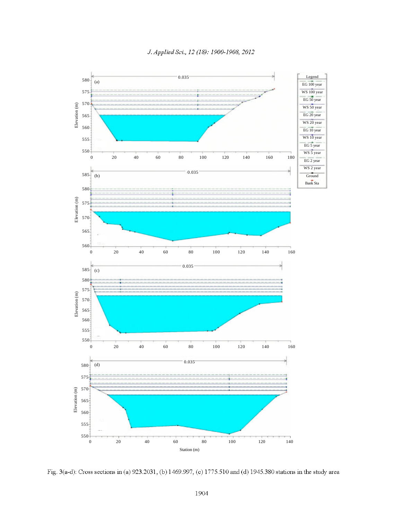

Fig. 3(a-d): Cross sections in (a) 923.2031, (b) 1469.997, (c) 1775.510 and (d) 1945.380 stations in the study area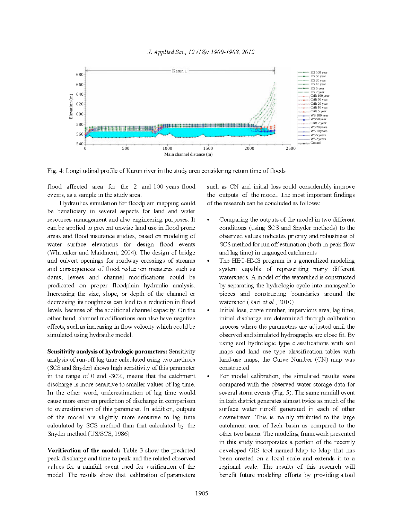

Fig. 4: Longitudinal profile of Karun river in the study area considering return time of floods

flood affected area for the 2 and 100 years flood events, as a sample in the study area.

Hydraulics simulation for floodplain mapping could be beneficiary in several aspects for land and water resources management and also engineering purposes. It can be applied to prevent unwise land use in flood prone areas and flood insurance studies, based on modeling of water surface elevations for design flood events (Whiteaker and Maidment, 2004). The design of bridge and culvert openings for roadway crossings of streams and consequences of flood reduction measures such as dams, levees and channel modifications could be predicated on proper floodplain hydraulic analysis. Increasing the size, slope, or depth of the channel or decreasing its roughness can lead to a reduction in flood levels because of the additional channel capacity. On the other hand, channel modifications can also have negative effects, such as increasing in flow velocity which could be simulated using hydraulic model.

Sensitivity analysis of hydrologic parameters: Sensitivity analysis of run-off lag time calculated using two methods (SCS and Snyder) shows high sensitivity of this parameter in the range of 0 and -30%, means that the catchment discharge is more sensitive to smaller values of lag time. In the other word, underestimation of lag time would cause more error on prediction of discharge in comparison to overestimation of this parameter. In addition, outputs of the model are slightly more sensitive to lag time calculated by SCS method than that calculated by the Snyder method (US/SCS, 1986).

Verification of the model: Table 3 show the predicted peak discharge and time to peak and the related observed values for a rainfall event used for verification of the model. The results show that calibration of parameters such as CN and initial loss could considerably improve the outputs of the model. The most important findings of the research can be concluded as follows:

- Comparing the outputs of the model in two different conditions (using SCS and Snyder methods) to the observed values indicates priority and robustness of SCS method for run off estimation (both in peak flow and lag time) in ungauged catchments
- The HEC-HMS program is a generalized modeling system capable of representing many different watersheds. A model of the watershed is constructed by separating the hydrologic cycle into manageable pieces and constructing boundaries around the watershed (Razi et al., 2010)
- Initial loss, curve number, impervious area, lag time, initial discharge are determined through calibration process where the parameters are adjusted until the observed and simulated hydrographs are close fit. By using soil hydrologic type classifications with soil maps and land use type classification tables with land-use maps, the Curve Number (CN) map was constructed
- For model calibration, the simulated results were compared with the observed water storage data for several storm events (Fig. 5). The same rainfall event in Izeh district generates almost twice as much of the surface water runoff generated in each of other downstream. This is mainly attributed to the large catchment area of Izeh basin as compared to the other two basins. The modeling framework presented in this study incorporates a portion of the recently developed GIS tool named Map to Map that has been created on a local scale and extends it to a regional scale. The results of this research will benefit future modeling efforts by providing a tool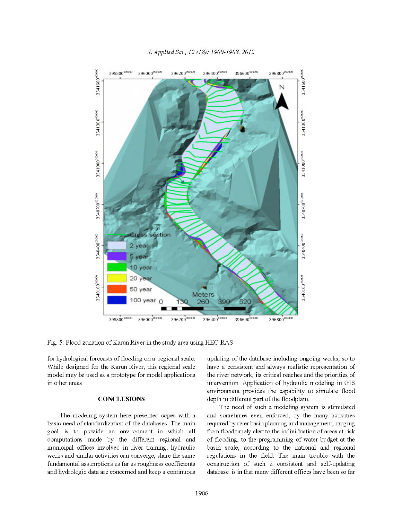

#### J. Applied Sci., 12 (18): 1900-1908, 2012

Fig. 5: Flood zonation of Karun River in the study area using HEC-RAS

for hydrological forecasts of flooding on a regional scale. While designed for the Karun River, this regional scale model may be used as a prototype for model applications in other areas

#### **CONCLUSIONS**

The modeling system here presented copes with a basic need of standardization of the databases. The main goal is to provide an environment in which all computations made by the different regional and municipal offices involved in river training, hydraulic works and similar activities can converge, share the same fundamental assumptions as far as roughness coefficients and hydrologic data are concerned and keep a continuous

updating of the database including ongoing works, so to have a consistent and always realistic representation of the river network, its critical reaches and the priorities of intervention. Application of hydraulic modeling in GIS environment provides the capability to simulate flood depth in different part of the floodplain.

The need of such a modeling system is stimulated and sometimes even enforced, by the many activities required by river basin planning and management, ranging from flood timely alert to the individuation of areas at risk of flooding, to the programming of water budget at the basin scale, according to the national and regional regulations in the field. The main trouble with the construction of such a consistent and self-updating database is in that many different offices have been so far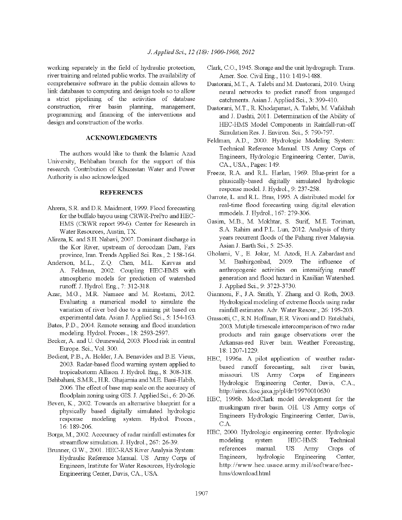working separately in the field of hydraulic protection. river training and related public works. The availability of comprehensive software in the public domain allows to link databases to computing and design tools so to allow a strict pipelining of the activities of database construction, river basin planning, management, programming and financing of the interventions and design and construction of the works.

### **ACKNOWLEDGMENTS**

The authors would like to thank the Islamic Azad University, Behbahan branch for the support of this research. Contribution of Khuzestan Water and Power Authority is also acknowledged.

#### **REFERENCES**

- Ahrens, S.R. and D.R. Maidment, 1999. Flood forecasting for the buffalo bayou using CRWR-PrePro and HEC-HMS (CRWR report 99-6). Center for Research in Water Resources, Austin, TX.
- Alireza, K. and S.H. Nabavi, 2007. Dominant discharge in the Kor River, upstream of doroodzan Dam, Fars province, Iran. Trends Applied Sci. Res., 2. 158-164.
- Anderson, M.L., Z.Q. Chen, M.L. Kavvas and A. Feldman, 2002. Coupling HEC-HMS with atmospheric models for prediction of watershed runoff. J. Hydrol. Eng., 7: 312-318.
- Azar, M.G., M.R. Namaee and M. Rostami, 2012. Evaluating a numerical model to simulate the variation of river bed due to a mining pit based on experimental data. Asian J. Applied Sci., 5: 154-163.
- Bates, P.D., 2004. Remote sensing and flood inundation modeling. Hydrol. Proces., 18: 2593-2597.
- Becker, A. and U. Grunewald, 2003. Flood risk in central Europe. Sci., Vol. 300.
- Bedient, P.B., A. Holder, J.A. Benavides and B.E. Vieux, 2003. Radar-based flood warning system applied to tropicalxstorm Allison. J. Hydrol. Eng., 8: 308-318.
- Behbahani, S.M.R., H.R. Ghajarnia and M.E. Bani-Habib, 2006. The effect of base map scale on the accuracy of floodplain zoning using GIS. J. Applied Sci., 6: 20-26.
- Beven, K., 2002. Towards an alternative blueprint for a physically based digitally simulated hydrologic response modeling system. Hydrol. Proces., 16:189-206.
- Borga, M., 2002. Acccuracy of radar rainfall estimates for streamflow simulation J. Hydrol., 267: 26-39.
- Brunner, G.W., 2001. HEC-RAS River Analysis System: Hydraulic Reference Manual. US Army Corps of Engineers, Institute for Water Resources, Hydrologic Engineering Center, Davis, CA., USA.
- Clark, C.O., 1945. Storage and the unit hydrograph. Trans. Amer. Soc. Civil Eng., 110: 1419-1488.
- Dastorani, M.T., A. Talebi and M. Dastorani, 2010. Using neural networks to predict runoff from ungauged catchments. Asian J. Applied Sci., 3: 399-410.
- Dastorani, M.T., R. Khodaparast, A. Talebi, M. Vafakhah and J. Dashti, 2011. Determination of the Ability of HEC-HMS Model Components in Rainfall-run-off Simulation Res. J. Environ. Sci., 5: 790-797.
- Feldman, A.D., 2000. Hydrologic Modeling System: Technical Reference Manual. US Army Corps of Engineers, Hydrologic Engineering Center, Davis, CA., USA., Pages: 149.
- Freeze, R.A. and R.L. Harlan, 1969. Blue-print for a phusically-based digitally simulated hydrologic response model. J. Hydrol., 9: 237-258.
- Garrote, L. and R.L. Bras, 1995. A distributed model for real-time flood forecasting using digital elevation mmodels. J. Hydrol., 167: 279-306.
- Gasim, M.B., M. Mokhtar, S. Surif, M.E. Toriman, S.A. Rahim and P.L. Lun, 2012. Analysis of thirty years recurrent floods of the Pahang river Malaysia. Asian J. Earth Sci., 5: 25-35.
- Gholami, V., E. Jokar, M. Azodi, H.A. Zabardast and M. Bashirgonbad, 2009. The influence of anthropogenic activities on intensifying runoff generation and flood hazard in Kasilian Watershed. J. Applied Sci., 9: 3723-3730.
- Giannoni, F., J.A. Smith, Y. Zhang and G. Roth, 2003. Hydrological modeling of extreme floods using radar rainfall estimates. Adv. Water Resour., 26: 195-203.
- Grassotti, C., R.N. Hoffman, E.R. Vivoni and D. Entekhabi, 2003. Mutiple timescale intercomparison of two radar products and rain gauge observations over the Arkansas-red River bain. Weather Forecasting, 18:1207-1229.
- HEC, 1996a. A pilot application of weather radarbased runoff forecasting, salt river basin. missouri. US Army Corps of Engineers Hydrologic Engineering Center, Davis,  $CA.$ http://airex.tksc.jaxa.jp/pl/dr/19970010630
- HEC, 1996b. ModClark model development for the muskingum river basin. OH. US Army corps of Engineers Hydrologic Engineering Center, Davis,  $C.A.$
- HEC, 2000. Hydrologic engineering center. Hydrologic modeling system HEC-HMS: Technical references **US** Army Crops of manual. Engineers, hydrologic Engineering Center, http://www.hec.usace.army.mil/software/hechms/download.html